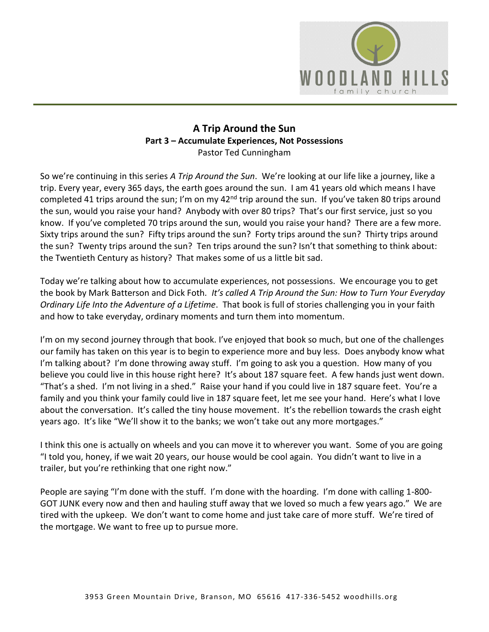

# **A Trip Around the Sun Part 3 – Accumulate Experiences, Not Possessions**  Pastor Ted Cunningham

So we're continuing in this series *A Trip Around the Sun*. We're looking at our life like a journey, like a trip. Every year, every 365 days, the earth goes around the sun. I am 41 years old which means I have completed 41 trips around the sun; I'm on my 42<sup>nd</sup> trip around the sun. If you've taken 80 trips around the sun, would you raise your hand? Anybody with over 80 trips? That's our first service, just so you know. If you've completed 70 trips around the sun, would you raise your hand? There are a few more. Sixty trips around the sun? Fifty trips around the sun? Forty trips around the sun? Thirty trips around the sun? Twenty trips around the sun? Ten trips around the sun? Isn't that something to think about: the Twentieth Century as history? That makes some of us a little bit sad.

Today we're talking about how to accumulate experiences, not possessions. We encourage you to get the book by Mark Batterson and Dick Foth*. It's called A Trip Around the Sun: How to Turn Your Everyday Ordinary Life Into the Adventure of a Lifetime*. That book is full of stories challenging you in your faith and how to take everyday, ordinary moments and turn them into momentum.

I'm on my second journey through that book. I've enjoyed that book so much, but one of the challenges our family has taken on this year is to begin to experience more and buy less. Does anybody know what I'm talking about? I'm done throwing away stuff. I'm going to ask you a question. How many of you believe you could live in this house right here? It's about 187 square feet. A few hands just went down. "That's a shed. I'm not living in a shed." Raise your hand if you could live in 187 square feet. You're a family and you think your family could live in 187 square feet, let me see your hand. Here's what I love about the conversation. It's called the tiny house movement. It's the rebellion towards the crash eight years ago. It's like "We'll show it to the banks; we won't take out any more mortgages."

I think this one is actually on wheels and you can move it to wherever you want. Some of you are going "I told you, honey, if we wait 20 years, our house would be cool again. You didn't want to live in a trailer, but you're rethinking that one right now."

People are saying "I'm done with the stuff. I'm done with the hoarding. I'm done with calling 1-800- GOT JUNK every now and then and hauling stuff away that we loved so much a few years ago." We are tired with the upkeep. We don't want to come home and just take care of more stuff. We're tired of the mortgage. We want to free up to pursue more.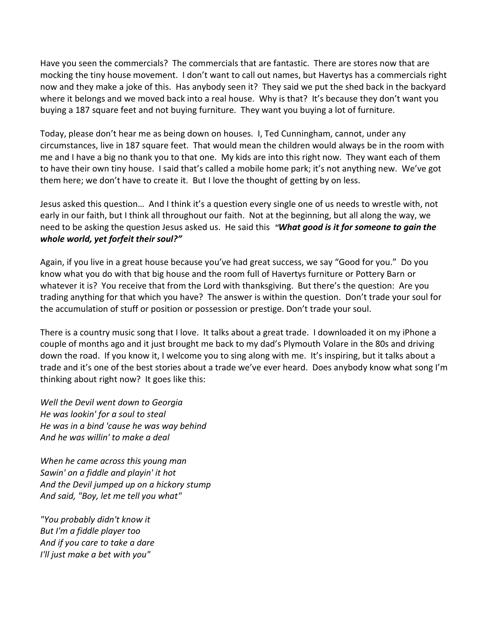Have you seen the commercials? The commercials that are fantastic. There are stores now that are mocking the tiny house movement. I don't want to call out names, but Havertys has a commercials right now and they make a joke of this. Has anybody seen it? They said we put the shed back in the backyard where it belongs and we moved back into a real house. Why is that? It's because they don't want you buying a 187 square feet and not buying furniture. They want you buying a lot of furniture.

Today, please don't hear me as being down on houses. I, Ted Cunningham, cannot, under any circumstances, live in 187 square feet. That would mean the children would always be in the room with me and I have a big no thank you to that one. My kids are into this right now. They want each of them to have their own tiny house. I said that's called a mobile home park; it's not anything new. We've got them here; we don't have to create it. But I love the thought of getting by on less.

Jesus asked this question… And I think it's a question every single one of us needs to wrestle with, not early in our faith, but I think all throughout our faith. Not at the beginning, but all along the way, we need to be asking the question Jesus asked us. He said this *"What good is it for someone to gain the whole world, yet forfeit their soul?"*

Again, if you live in a great house because you've had great success, we say "Good for you." Do you know what you do with that big house and the room full of Havertys furniture or Pottery Barn or whatever it is? You receive that from the Lord with thanksgiving. But there's the question: Are you trading anything for that which you have? The answer is within the question. Don't trade your soul for the accumulation of stuff or position or possession or prestige. Don't trade your soul.

There is a country music song that I love. It talks about a great trade. I downloaded it on my iPhone a couple of months ago and it just brought me back to my dad's Plymouth Volare in the 80s and driving down the road. If you know it, I welcome you to sing along with me. It's inspiring, but it talks about a trade and it's one of the best stories about a trade we've ever heard. Does anybody know what song I'm thinking about right now? It goes like this:

*Well the Devil went down to Georgia He was lookin' for a soul to steal He was in a bind 'cause he was way behind And he was willin' to make a deal* 

*When he came across this young man Sawin' on a fiddle and playin' it hot And the Devil jumped up on a hickory stump And said, "Boy, let me tell you what"* 

*"You probably didn't know it But I'm a fiddle player too And if you care to take a dare I'll just make a bet with you"*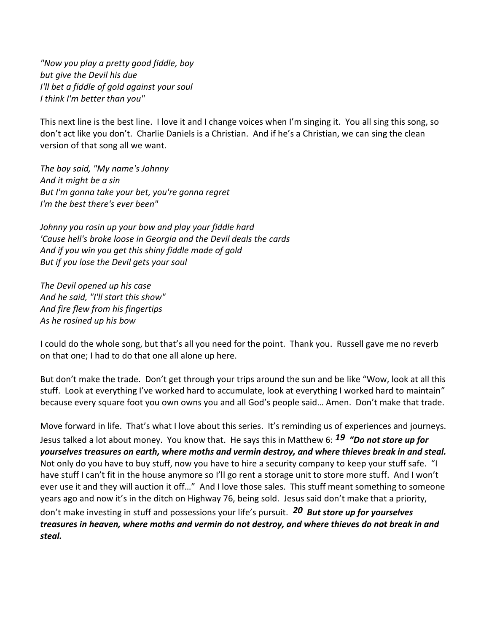*"Now you play a pretty good fiddle, boy but give the Devil his due I'll bet a fiddle of gold against your soul I think I'm better than you"* 

This next line is the best line. I love it and I change voices when I'm singing it. You all sing this song, so don't act like you don't. Charlie Daniels is a Christian. And if he's a Christian, we can sing the clean version of that song all we want.

*The boy said, "My name's Johnny And it might be a sin But I'm gonna take your bet, you're gonna regret I'm the best there's ever been"* 

*Johnny you rosin up your bow and play your fiddle hard 'Cause hell's broke loose in Georgia and the Devil deals the cards And if you win you get this shiny fiddle made of gold But if you lose the Devil gets your soul* 

*The Devil opened up his case And he said, "I'll start this show" And fire flew from his fingertips As he rosined up his bow* 

I could do the whole song, but that's all you need for the point. Thank you. Russell gave me no reverb on that one; I had to do that one all alone up here.

But don't make the trade. Don't get through your trips around the sun and be like "Wow, look at all this stuff. Look at everything I've worked hard to accumulate, look at everything I worked hard to maintain" because every square foot you own owns you and all God's people said… Amen. Don't make that trade.

Move forward in life. That's what I love about this series. It's reminding us of experiences and journeys. Jesus talked a lot about money. You know that. He says this in Matthew 6: *[19](http://www.studylight.org/desk/?q=mt%206:19&t1=en_niv&sr=1) "Do not store up for yourselves treasures on earth, where moths and vermin destroy, and where thieves break in and steal.* Not only do you have to buy stuff, now you have to hire a security company to keep your stuff safe. "I have stuff I can't fit in the house anymore so I'll go rent a storage unit to store more stuff. And I won't ever use it and they will auction it off…" And I love those sales. This stuff meant something to someone years ago and now it's in the ditch on Highway 76, being sold. Jesus said don't make that a priority,

don't make investing in stuff and possessions your life's pursuit. *[20](http://www.studylight.org/desk/?q=mt%206:20&t1=en_niv&sr=1) But store up for yourselves treasures in heaven, where moths and vermin do not destroy, and where thieves do not break in and steal.*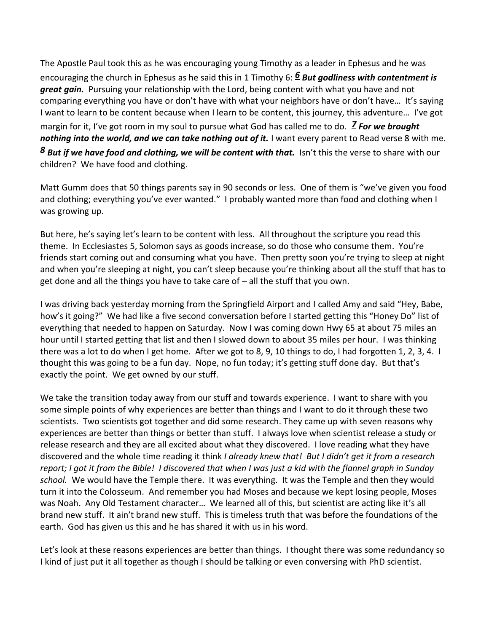The Apostle Paul took this as he was encouraging young Timothy as a leader in Ephesus and he was encouraging the church in Ephesus as he said this in 1 Timothy 6: *[6](http://www.studylight.org/desk/?q=1ti%206:6&t1=en_niv&sr=1) But godliness with contentment is great gain.* Pursuing your relationship with the Lord, being content with what you have and not comparing everything you have or don't have with what your neighbors have or don't have… It's saying I want to learn to be content because when I learn to be content, this journey, this adventure… I've got

margin for it, I've got room in my soul to pursue what God has called me to do. Z For we brought *nothing into the world, and we can take nothing out of it.* I want every parent to Read verse 8 with me. *[8](http://www.studylight.org/desk/?q=1ti%206:8&t1=en_niv&sr=1) But if we have food and clothing, we will be content with that.* Isn't this the verse to share with our

children? We have food and clothing.

Matt Gumm does that 50 things parents say in 90 seconds or less. One of them is "we've given you food and clothing; everything you've ever wanted." I probably wanted more than food and clothing when I was growing up.

But here, he's saying let's learn to be content with less. All throughout the scripture you read this theme. In Ecclesiastes 5, Solomon says as goods increase, so do those who consume them. You're friends start coming out and consuming what you have. Then pretty soon you're trying to sleep at night and when you're sleeping at night, you can't sleep because you're thinking about all the stuff that has to get done and all the things you have to take care of – all the stuff that you own.

I was driving back yesterday morning from the Springfield Airport and I called Amy and said "Hey, Babe, how's it going?" We had like a five second conversation before I started getting this "Honey Do" list of everything that needed to happen on Saturday. Now I was coming down Hwy 65 at about 75 miles an hour until I started getting that list and then I slowed down to about 35 miles per hour. I was thinking there was a lot to do when I get home. After we got to 8, 9, 10 things to do, I had forgotten 1, 2, 3, 4. I thought this was going to be a fun day. Nope, no fun today; it's getting stuff done day. But that's exactly the point. We get owned by our stuff.

We take the transition today away from our stuff and towards experience. I want to share with you some simple points of why experiences are better than things and I want to do it through these two scientists. Two scientists got together and did some research. They came up with seven reasons why experiences are better than things or better than stuff. I always love when scientist release a study or release research and they are all excited about what they discovered. I love reading what they have discovered and the whole time reading it think *I already knew that! But I didn't get it from a research report; I got it from the Bible! I discovered that when I was just a kid with the flannel graph in Sunday school.* We would have the Temple there. It was everything. It was the Temple and then they would turn it into the Colosseum. And remember you had Moses and because we kept losing people, Moses was Noah. Any Old Testament character… We learned all of this, but scientist are acting like it's all brand new stuff. It ain't brand new stuff. This is timeless truth that was before the foundations of the earth. God has given us this and he has shared it with us in his word.

Let's look at these reasons experiences are better than things. I thought there was some redundancy so I kind of just put it all together as though I should be talking or even conversing with PhD scientist.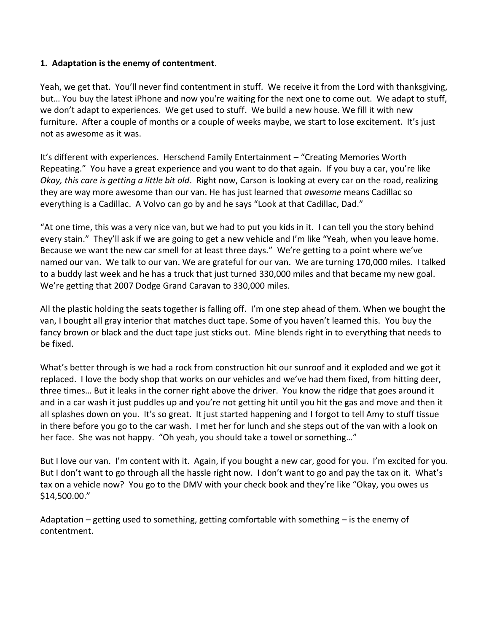#### **1. Adaptation is the enemy of contentment**.

Yeah, we get that. You'll never find contentment in stuff. We receive it from the Lord with thanksgiving, but… You buy the latest iPhone and now you're waiting for the next one to come out. We adapt to stuff, we don't adapt to experiences. We get used to stuff. We build a new house. We fill it with new furniture. After a couple of months or a couple of weeks maybe, we start to lose excitement. It's just not as awesome as it was.

It's different with experiences. Herschend Family Entertainment – "Creating Memories Worth Repeating." You have a great experience and you want to do that again. If you buy a car, you're like *Okay, this care is getting a little bit old*. Right now, Carson is looking at every car on the road, realizing they are way more awesome than our van. He has just learned that *awesome* means Cadillac so everything is a Cadillac. A Volvo can go by and he says "Look at that Cadillac, Dad."

"At one time, this was a very nice van, but we had to put you kids in it. I can tell you the story behind every stain." They'll ask if we are going to get a new vehicle and I'm like "Yeah, when you leave home. Because we want the new car smell for at least three days." We're getting to a point where we've named our van. We talk to our van. We are grateful for our van. We are turning 170,000 miles. I talked to a buddy last week and he has a truck that just turned 330,000 miles and that became my new goal. We're getting that 2007 Dodge Grand Caravan to 330,000 miles.

All the plastic holding the seats together is falling off. I'm one step ahead of them. When we bought the van, I bought all gray interior that matches duct tape. Some of you haven't learned this. You buy the fancy brown or black and the duct tape just sticks out. Mine blends right in to everything that needs to be fixed.

What's better through is we had a rock from construction hit our sunroof and it exploded and we got it replaced. I love the body shop that works on our vehicles and we've had them fixed, from hitting deer, three times… But it leaks in the corner right above the driver. You know the ridge that goes around it and in a car wash it just puddles up and you're not getting hit until you hit the gas and move and then it all splashes down on you. It's so great. It just started happening and I forgot to tell Amy to stuff tissue in there before you go to the car wash. I met her for lunch and she steps out of the van with a look on her face. She was not happy. "Oh yeah, you should take a towel or something…"

But I love our van. I'm content with it. Again, if you bought a new car, good for you. I'm excited for you. But I don't want to go through all the hassle right now. I don't want to go and pay the tax on it. What's tax on a vehicle now? You go to the DMV with your check book and they're like "Okay, you owes us \$14,500.00."

Adaptation – getting used to something, getting comfortable with something – is the enemy of contentment.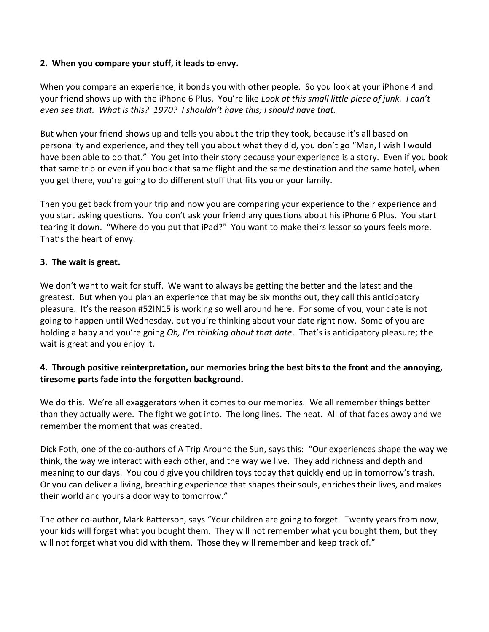#### **2. When you compare your stuff, it leads to envy.**

When you compare an experience, it bonds you with other people. So you look at your iPhone 4 and your friend shows up with the iPhone 6 Plus. You're like *Look at this small little piece of junk. I can't even see that. What is this? 1970? I shouldn't have this; I should have that.*

But when your friend shows up and tells you about the trip they took, because it's all based on personality and experience, and they tell you about what they did, you don't go "Man, I wish I would have been able to do that." You get into their story because your experience is a story. Even if you book that same trip or even if you book that same flight and the same destination and the same hotel, when you get there, you're going to do different stuff that fits you or your family.

Then you get back from your trip and now you are comparing your experience to their experience and you start asking questions. You don't ask your friend any questions about his iPhone 6 Plus. You start tearing it down. "Where do you put that iPad?" You want to make theirs lessor so yours feels more. That's the heart of envy.

# **3. The wait is great.**

We don't want to wait for stuff. We want to always be getting the better and the latest and the greatest. But when you plan an experience that may be six months out, they call this anticipatory pleasure. It's the reason #52IN15 is working so well around here. For some of you, your date is not going to happen until Wednesday, but you're thinking about your date right now. Some of you are holding a baby and you're going *Oh, I'm thinking about that date*. That's is anticipatory pleasure; the wait is great and you enjoy it.

# **4. Through positive reinterpretation, our memories bring the best bits to the front and the annoying, tiresome parts fade into the forgotten background.**

We do this. We're all exaggerators when it comes to our memories. We all remember things better than they actually were. The fight we got into. The long lines. The heat. All of that fades away and we remember the moment that was created.

Dick Foth, one of the co-authors of A Trip Around the Sun, says this: "Our experiences shape the way we think, the way we interact with each other, and the way we live. They add richness and depth and meaning to our days. You could give you children toys today that quickly end up in tomorrow's trash. Or you can deliver a living, breathing experience that shapes their souls, enriches their lives, and makes their world and yours a door way to tomorrow."

The other co-author, Mark Batterson, says "Your children are going to forget. Twenty years from now, your kids will forget what you bought them. They will not remember what you bought them, but they will not forget what you did with them. Those they will remember and keep track of."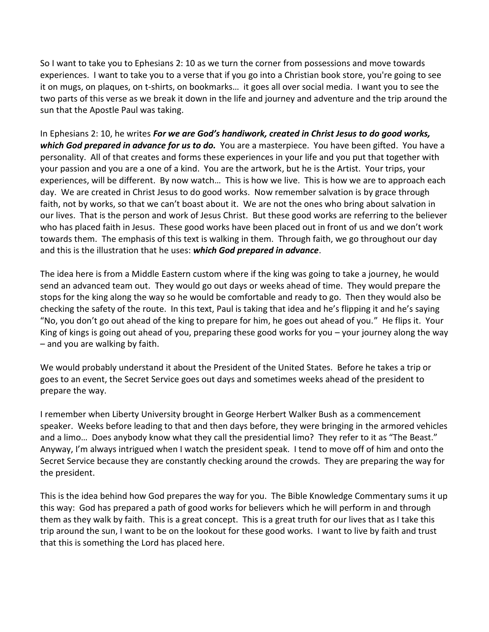So I want to take you to Ephesians 2: 10 as we turn the corner from possessions and move towards experiences. I want to take you to a verse that if you go into a Christian book store, you're going to see it on mugs, on plaques, on t-shirts, on bookmarks… it goes all over social media. I want you to see the two parts of this verse as we break it down in the life and journey and adventure and the trip around the sun that the Apostle Paul was taking.

In Ephesians 2: 10, he writes *For we are God's handiwork, created in Christ Jesus to do good works, which God prepared in advance for us to do.* You are a masterpiece. You have been gifted. You have a personality. All of that creates and forms these experiences in your life and you put that together with your passion and you are a one of a kind. You are the artwork, but he is the Artist. Your trips, your experiences, will be different. By now watch… This is how we live. This is how we are to approach each day. We are created in Christ Jesus to do good works. Now remember salvation is by grace through faith, not by works, so that we can't boast about it. We are not the ones who bring about salvation in our lives. That is the person and work of Jesus Christ. But these good works are referring to the believer who has placed faith in Jesus. These good works have been placed out in front of us and we don't work towards them. The emphasis of this text is walking in them. Through faith, we go throughout our day and this is the illustration that he uses: *which God prepared in advance*.

The idea here is from a Middle Eastern custom where if the king was going to take a journey, he would send an advanced team out. They would go out days or weeks ahead of time. They would prepare the stops for the king along the way so he would be comfortable and ready to go. Then they would also be checking the safety of the route. In this text, Paul is taking that idea and he's flipping it and he's saying "No, you don't go out ahead of the king to prepare for him, he goes out ahead of you." He flips it. Your King of kings is going out ahead of you, preparing these good works for you – your journey along the way – and you are walking by faith.

We would probably understand it about the President of the United States. Before he takes a trip or goes to an event, the Secret Service goes out days and sometimes weeks ahead of the president to prepare the way.

I remember when Liberty University brought in George Herbert Walker Bush as a commencement speaker. Weeks before leading to that and then days before, they were bringing in the armored vehicles and a limo… Does anybody know what they call the presidential limo? They refer to it as "The Beast." Anyway, I'm always intrigued when I watch the president speak. I tend to move off of him and onto the Secret Service because they are constantly checking around the crowds. They are preparing the way for the president.

This is the idea behind how God prepares the way for you. The Bible Knowledge Commentary sums it up this way: God has prepared a path of good works for believers which he will perform in and through them as they walk by faith. This is a great concept. This is a great truth for our lives that as I take this trip around the sun, I want to be on the lookout for these good works. I want to live by faith and trust that this is something the Lord has placed here.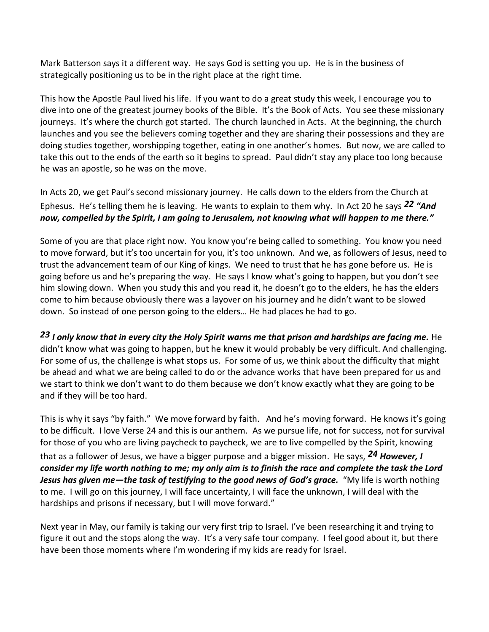Mark Batterson says it a different way. He says God is setting you up. He is in the business of strategically positioning us to be in the right place at the right time.

This how the Apostle Paul lived his life. If you want to do a great study this week, I encourage you to dive into one of the greatest journey books of the Bible. It's the Book of Acts. You see these missionary journeys. It's where the church got started. The church launched in Acts. At the beginning, the church launches and you see the believers coming together and they are sharing their possessions and they are doing studies together, worshipping together, eating in one another's homes. But now, we are called to take this out to the ends of the earth so it begins to spread. Paul didn't stay any place too long because he was an apostle, so he was on the move.

In Acts 20, we get Paul's second missionary journey. He calls down to the elders from the Church at Ephesus. He's telling them he is leaving. He wants to explain to them why. In Act 20 he says *[22](http://www.studylight.org/desk/?q=ac%2020:22&t1=en_niv&sr=1) "And now, compelled by the Spirit, I am going to Jerusalem, not knowing what will happen to me there."*

Some of you are that place right now. You know you're being called to something. You know you need to move forward, but it's too uncertain for you, it's too unknown. And we, as followers of Jesus, need to trust the advancement team of our King of kings. We need to trust that he has gone before us. He is going before us and he's preparing the way. He says I know what's going to happen, but you don't see him slowing down. When you study this and you read it, he doesn't go to the elders, he has the elders come to him because obviously there was a layover on his journey and he didn't want to be slowed down. So instead of one person going to the elders… He had places he had to go.

[23](http://www.studylight.org/desk/?q=ac%2020:23&t1=en_niv&sr=1) *I only know that in every city the Holy Spirit warns me that prison and hardships are facing me. He* didn't know what was going to happen, but he knew it would probably be very difficult. And challenging. For some of us, the challenge is what stops us. For some of us, we think about the difficulty that might be ahead and what we are being called to do or the advance works that have been prepared for us and we start to think we don't want to do them because we don't know exactly what they are going to be and if they will be too hard.

This is why it says "by faith." We move forward by faith. And he's moving forward. He knows it's going to be difficult. I love Verse 24 and this is our anthem. As we pursue life, not for success, not for survival for those of you who are living paycheck to paycheck, we are to live compelled by the Spirit, knowing

that as a follower of Jesus, we have a bigger purpose and a bigger mission. He says, *[24](http://www.studylight.org/desk/?q=ac%2020:24&t1=en_niv&sr=1) However, I consider my life worth nothing to me; my only aim is to finish the race and complete the task the Lord Jesus has given me—the task of testifying to the good news of God's grace.* "My life is worth nothing to me. I will go on this journey, I will face uncertainty, I will face the unknown, I will deal with the hardships and prisons if necessary, but I will move forward."

Next year in May, our family is taking our very first trip to Israel. I've been researching it and trying to figure it out and the stops along the way. It's a very safe tour company. I feel good about it, but there have been those moments where I'm wondering if my kids are ready for Israel.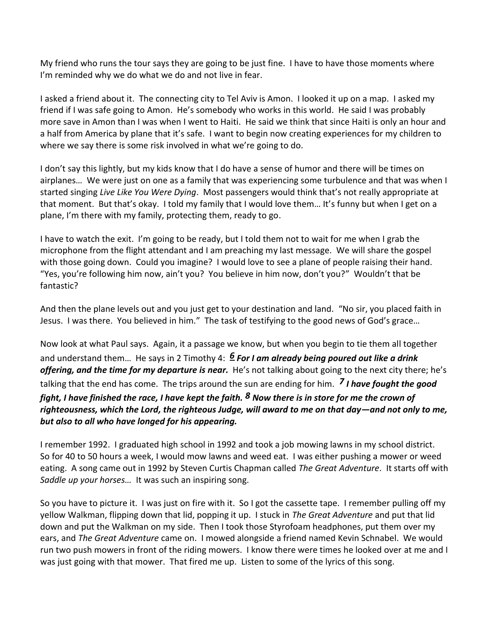My friend who runs the tour says they are going to be just fine. I have to have those moments where I'm reminded why we do what we do and not live in fear.

I asked a friend about it. The connecting city to Tel Aviv is Amon. I looked it up on a map. I asked my friend if I was safe going to Amon. He's somebody who works in this world. He said I was probably more save in Amon than I was when I went to Haiti. He said we think that since Haiti is only an hour and a half from America by plane that it's safe. I want to begin now creating experiences for my children to where we say there is some risk involved in what we're going to do.

I don't say this lightly, but my kids know that I do have a sense of humor and there will be times on airplanes… We were just on one as a family that was experiencing some turbulence and that was when I started singing *Live Like You Were Dying*. Most passengers would think that's not really appropriate at that moment. But that's okay. I told my family that I would love them… It's funny but when I get on a plane, I'm there with my family, protecting them, ready to go.

I have to watch the exit. I'm going to be ready, but I told them not to wait for me when I grab the microphone from the flight attendant and I am preaching my last message. We will share the gospel with those going down. Could you imagine? I would love to see a plane of people raising their hand. "Yes, you're following him now, ain't you? You believe in him now, don't you?" Wouldn't that be fantastic?

And then the plane levels out and you just get to your destination and land. "No sir, you placed faith in Jesus. I was there. You believed in him." The task of testifying to the good news of God's grace...

Now look at what Paul says. Again, it a passage we know, but when you begin to tie them all together and understand them… He says in 2 Timothy 4: *[6](http://www.studylight.org/desk/?q=2ti%204:6&t1=en_niv&sr=1) For I am already being poured out like a drink offering, and the time for my departure is near.* He's not talking about going to the next city there; he's talking that the end has come. The trips around the sun are ending for him. *[7](http://www.studylight.org/desk/?q=2ti%204:7&t1=en_niv&sr=1) I have fought the good fight, I have finished the race, I have kept the faith. [8](http://www.studylight.org/desk/?q=2ti%204:8&t1=en_niv&sr=1) Now there is in store for me the crown of righteousness, which the Lord, the righteous Judge, will award to me on that day—and not only to me, but also to all who have longed for his appearing.*

I remember 1992. I graduated high school in 1992 and took a job mowing lawns in my school district. So for 40 to 50 hours a week, I would mow lawns and weed eat. I was either pushing a mower or weed eating. A song came out in 1992 by Steven Curtis Chapman called *The Great Adventure*. It starts off with *Saddle up your horses…* It was such an inspiring song.

So you have to picture it. I was just on fire with it. So I got the cassette tape. I remember pulling off my yellow Walkman, flipping down that lid, popping it up. I stuck in *The Great Adventure* and put that lid down and put the Walkman on my side. Then I took those Styrofoam headphones, put them over my ears, and *The Great Adventure* came on. I mowed alongside a friend named Kevin Schnabel. We would run two push mowers in front of the riding mowers. I know there were times he looked over at me and I was just going with that mower. That fired me up. Listen to some of the lyrics of this song.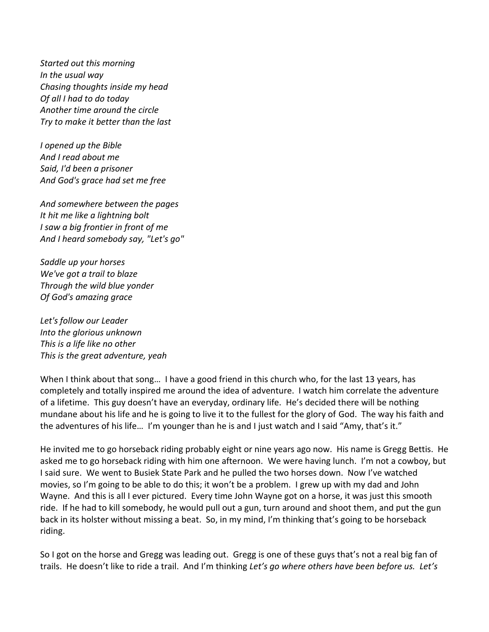*Started out this morning In the usual way Chasing thoughts inside my head Of all I had to do today Another time around the circle Try to make it better than the last* 

*I opened up the Bible And I read about me Said, I'd been a prisoner And God's grace had set me free* 

*And somewhere between the pages It hit me like a lightning bolt I saw a big frontier in front of me And I heard somebody say, "Let's go"* 

*Saddle up your horses We've got a trail to blaze Through the wild blue yonder Of God's amazing grace* 

*Let's follow our Leader Into the glorious unknown This is a life like no other This is the great adventure, yeah* 

When I think about that song… I have a good friend in this church who, for the last 13 years, has completely and totally inspired me around the idea of adventure. I watch him correlate the adventure of a lifetime. This guy doesn't have an everyday, ordinary life. He's decided there will be nothing mundane about his life and he is going to live it to the fullest for the glory of God. The way his faith and the adventures of his life… I'm younger than he is and I just watch and I said "Amy, that's it."

He invited me to go horseback riding probably eight or nine years ago now. His name is Gregg Bettis. He asked me to go horseback riding with him one afternoon. We were having lunch. I'm not a cowboy, but I said sure. We went to Busiek State Park and he pulled the two horses down. Now I've watched movies, so I'm going to be able to do this; it won't be a problem. I grew up with my dad and John Wayne. And this is all I ever pictured. Every time John Wayne got on a horse, it was just this smooth ride. If he had to kill somebody, he would pull out a gun, turn around and shoot them, and put the gun back in its holster without missing a beat. So, in my mind, I'm thinking that's going to be horseback riding.

So I got on the horse and Gregg was leading out. Gregg is one of these guys that's not a real big fan of trails. He doesn't like to ride a trail. And I'm thinking *Let's go where others have been before us. Let's*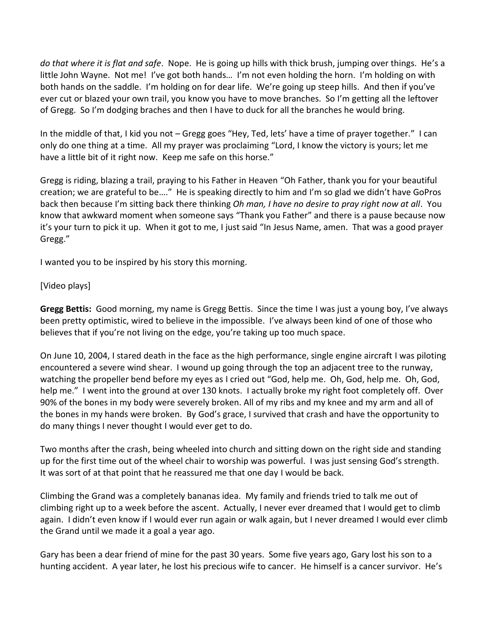*do that where it is flat and safe*. Nope. He is going up hills with thick brush, jumping over things. He's a little John Wayne. Not me! I've got both hands… I'm not even holding the horn. I'm holding on with both hands on the saddle. I'm holding on for dear life. We're going up steep hills. And then if you've ever cut or blazed your own trail, you know you have to move branches. So I'm getting all the leftover of Gregg. So I'm dodging braches and then I have to duck for all the branches he would bring.

In the middle of that, I kid you not – Gregg goes "Hey, Ted, lets' have a time of prayer together." I can only do one thing at a time. All my prayer was proclaiming "Lord, I know the victory is yours; let me have a little bit of it right now. Keep me safe on this horse."

Gregg is riding, blazing a trail, praying to his Father in Heaven "Oh Father, thank you for your beautiful creation; we are grateful to be…." He is speaking directly to him and I'm so glad we didn't have GoPros back then because I'm sitting back there thinking *Oh man, I have no desire to pray right now at all*. You know that awkward moment when someone says "Thank you Father" and there is a pause because now it's your turn to pick it up. When it got to me, I just said "In Jesus Name, amen. That was a good prayer Gregg."

I wanted you to be inspired by his story this morning.

# [Video plays]

**Gregg Bettis:** Good morning, my name is Gregg Bettis. Since the time I was just a young boy, I've always been pretty optimistic, wired to believe in the impossible. I've always been kind of one of those who believes that if you're not living on the edge, you're taking up too much space.

On June 10, 2004, I stared death in the face as the high performance, single engine aircraft I was piloting encountered a severe wind shear. I wound up going through the top an adjacent tree to the runway, watching the propeller bend before my eyes as I cried out "God, help me. Oh, God, help me. Oh, God, help me." I went into the ground at over 130 knots. I actually broke my right foot completely off. Over 90% of the bones in my body were severely broken. All of my ribs and my knee and my arm and all of the bones in my hands were broken. By God's grace, I survived that crash and have the opportunity to do many things I never thought I would ever get to do.

Two months after the crash, being wheeled into church and sitting down on the right side and standing up for the first time out of the wheel chair to worship was powerful. I was just sensing God's strength. It was sort of at that point that he reassured me that one day I would be back.

Climbing the Grand was a completely bananas idea. My family and friends tried to talk me out of climbing right up to a week before the ascent. Actually, I never ever dreamed that I would get to climb again. I didn't even know if I would ever run again or walk again, but I never dreamed I would ever climb the Grand until we made it a goal a year ago.

Gary has been a dear friend of mine for the past 30 years. Some five years ago, Gary lost his son to a hunting accident. A year later, he lost his precious wife to cancer. He himself is a cancer survivor. He's